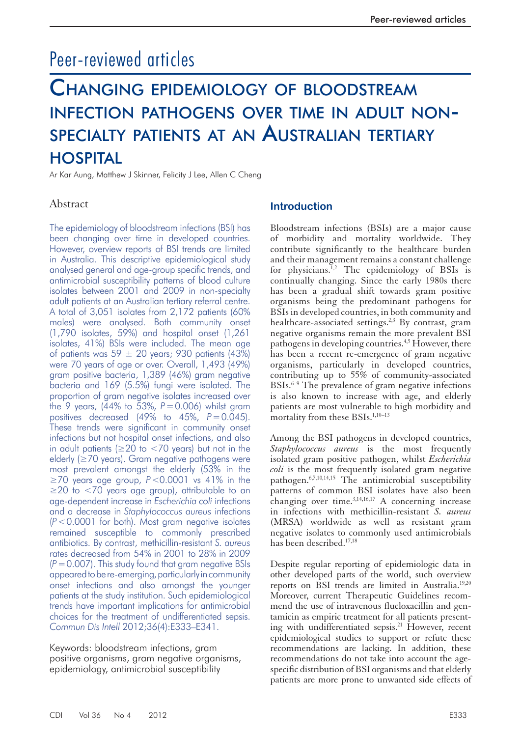# Peer-reviewed articles

# CHANGING EPIDEMIOLOGY OF BLOODSTREAM INFECTION PATHOGENS OVER TIME IN ADULT NON-SPECIALTY PATIENTS AT AN AUSTRALIAN TERTIARY HOSPITAL

Ar Kar Aung, Matthew J Skinner, Felicity J Lee, Allen C Cheng

# Abstract

The epidemiology of bloodstream infections (BSI) has been changing over time in developed countries. However, overview reports of BSI trends are limited in Australia. This descriptive epidemiological study analysed general and age-group specific trends, and antimicrobial susceptibility patterns of blood culture isolates between 2001 and 2009 in non-specialty adult patients at an Australian tertiary referral centre. A total of 3,051 isolates from 2,172 patients (60% males) were analysed. Both community onset (1,790 isolates, 59%) and hospital onset (1,261 isolates, 41%) BSIs were included. The mean age of patients was 59  $\pm$  20 years; 930 patients (43%) were 70 years of age or over. Overall, 1,493 (49%) gram positive bacteria, 1,389 (46%) gram negative bacteria and 169 (5.5%) fungi were isolated. The proportion of gram negative isolates increased over the 9 years,  $(44\%$  to 53%,  $P = 0.006$ ) whilst gram positives decreased  $(49\% \text{ to } 45\% \text{)}$   $P = 0.045$ ). These trends were significant in community onset infections but not hospital onset infections, and also in adult patients ( $\geq$ 20 to <70 years) but not in the elderly ( $\geq$ 70 years). Gram negative pathogens were most prevalent amongst the elderly (53% in the ≥70 years age group, *P* <0.0001 vs 41% in the ≥20 to <70 years age group), attributable to an age-dependent increase in *Escherichia coli* infections and a decrease in *Staphylococcus aureus* infections  $(P < 0.0001$  for both). Most gram negative isolates remained susceptible to commonly prescribed antibiotics. By contrast, methicillin-resistant *S. aureus*  rates decreased from 54% in 2001 to 28% in 2009  $(P = 0.007)$ . This study found that gram negative BSIs appeared to be re-emerging, particularly in community onset infections and also amongst the younger patients at the study institution. Such epidemiological trends have important implications for antimicrobial choices for the treatment of undifferentiated sepsis. *Commun Dis Intell* 2012;36(4):E333–E341.

Keywords: bloodstream infections, gram positive organisms, gram negative organisms, epidemiology, antimicrobial susceptibility

### **Introduction**

 Bloodstream infections (BSIs) are a major cause of morbidity and mortality worldwide. They contribute significantly to the healthcare burden and their management remains a constant challenge for physicians.<sup>1,2</sup> The epidemiology of BSIs is continually changing. Since the early 1980s there has been a gradual shift towards gram positive organisms being the predominant pathogens for BSIs in developed countries, in both community and healthcare-associated settings.<sup>2,3</sup> By contrast, gram negative organisms remain the more prevalent BSI pathogens in developing countries.<sup>4,5</sup> However, there has been a recent re-emergence of gram negative organisms, particularly in developed countries, contributing up to 55% of community-associated BSIs.<sup>6–9</sup> The prevalence of gram negative infections is also known to increase with age, and elderly patients are most vulnerable to high morbidity and mortality from these BSIs.<sup>1,10-13</sup>

 Among the BSI pathogens in developed countries, *Staphylococcus aureus* is the most frequently isolated gram positive pathogen, whilst *Escherichia coli* is the most frequently isolated gram negative pathogen.<sup>6,7,10,14,15</sup> The antimicrobial susceptibility patterns of common BSI isolates have also been changing over time. $3,14,16,17$  A concerning increase in infections with methicillin-resistant *S. aureus*  (MRSA) worldwide as well as resistant gram negative isolates to commonly used antimicrobials has been described.<sup>17,18</sup>

 Despite regular reporting of epidemiologic data in other developed parts of the world, such overview reports on BSI trends are limited in Australia.<sup>19,20</sup> Moreover, current Therapeutic Guidelines recommend the use of intravenous flucloxacillin and gentamicin as empiric treatment for all patients presenting with undifferentiated sepsis.<sup>21</sup> However, recent epidemiological studies to support or refute these recommendations are lacking. In addition, these recommendations do not take into account the agespecific distribution of BSI organisms and that elderly patients are more prone to unwanted side effects of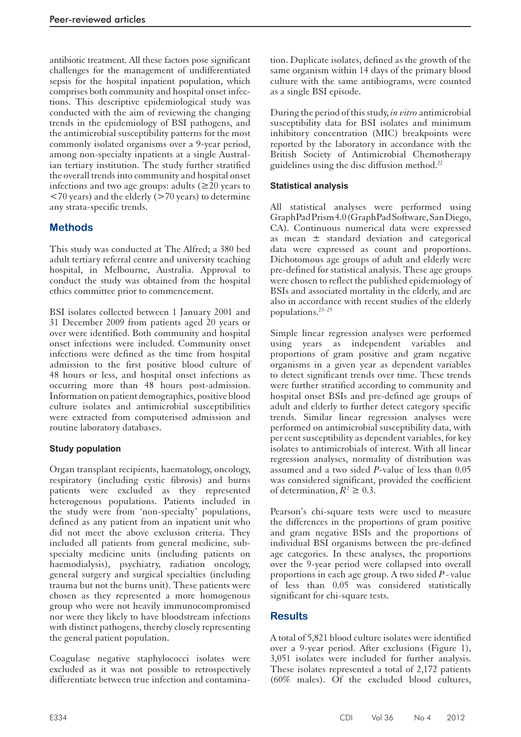antibiotic treatment. All these factors pose significant challenges for the management of undifferentiated sepsis for the hospital inpatient population, which comprises both community and hospital onset infections. This descriptive epidemiological study was conducted with the aim of reviewing the changing trends in the epidemiology of BSI pathogens, and the antimicrobial susceptibility patterns for the most commonly isolated organisms over a 9-year period, among non-specialty inpatients at a single Australian tertiary institution. The study further stratified the overall trends into community and hospital onset infections and two age groups: adults  $(\geq 20)$  years to  $\langle 70 \rangle$  years) and the elderly ( $> 70 \rangle$  years) to determine any strata-specific trends.

# **Methods**

 This study was conducted at The Alfred; a 380 bed adult tertiary referral centre and university teaching hospital, in Melbourne, Australia. Approval to conduct the study was obtained from the hospital ethics committee prior to commencement.

 BSI isolates collected between 1 January 2001 and 31 December 2009 from patients aged 20 years or over were identified. Both community and hospital onset infections were included. Community onset infections were defined as the time from hospital admission to the first positive blood culture of 48 hours or less, and hospital onset infections as occurring more than 48 hours post-admission. Information on patient demographics, positive blood culture isolates and antimicrobial susceptibilities were extracted from computerised admission and routine laboratory databases.

### **Study population**

 Organ transplant recipients, haematology, oncology, respiratory (including cystic fibrosis) and burns patients were excluded as they represented heterogenous populations. Patients included in the study were from 'non-specialty' populations, defined as any patient from an inpatient unit who did not meet the above exclusion criteria. They included all patients from general medicine, subspecialty medicine units (including patients on haemodialysis), psychiatry, radiation oncology, general surgery and surgical specialties (including trauma but not the burns unit). These patients were chosen as they represented a more homogenous group who were not heavily immunocompromised nor were they likely to have bloodstream infections with distinct pathogens, thereby closely representing the general patient population.

 Coagulase negative staphylococci isolates were excluded as it was not possible to retrospectively differentiate between true infection and contamination. Duplicate isolates, defined as the growth of the same organism within 14 days of the primary blood culture with the same antibiograms, were counted as a single BSI episode.

 During the period of this study, *in vitro* antimicrobial susceptibility data for BSI isolates and minimum inhibitory concentration (MIC) breakpoints were reported by the laboratory in accordance with the British Society of Antimicrobial Chemotherapy guidelines using the disc diffusion method. 22

### **Statistical analysis**

 All statistical analyses were performed using GraphPad Prism 4.0 (GraphPad Software, San Diego, CA). Continuous numerical data were expressed as mean ± standard deviation and categorical data were expressed as count and proportions. Dichotomous age groups of adult and elderly were pre-defined for statistical analysis. These age groups were chosen to reflect the published epidemiology of BSIs and associated mortality in the elderly, and are also in accordance with recent studies of the elderly populations. 23–25

 Simple linear regression analyses were performed using years as independent variables and proportions of gram positive and gram negative organisms in a given year as dependent variables to detect significant trends over time. These trends were further stratified according to community and hospital onset BSIs and pre-defined age groups of adult and elderly to further detect category specific trends. Similar linear regression analyses were performed on antimicrobial susceptibility data, with per cent susceptibility as dependent variables, for key isolates to antimicrobials of interest. With all linear regression analyses, normality of distribution was assumed and a two sided *P* -value of less than 0.05 was considered significant, provided the coefficient of determination,  $R^2 \geq 0.3$ .

 Pearson's chi-square tests were used to measure the differences in the proportions of gram positive and gram negative BSIs and the proportions of individual BSI organisms between the pre-defined age categories. In these analyses, the proportions over the 9-year period were collapsed into overall proportions in each age group. A two sided *P* - value of less than 0.05 was considered statistically significant for chi-square tests.

# **Results**

 A total of 5,821 blood culture isolates were identified over a 9-year period. After exclusions (Figure 1), 3,051 isolates were included for further analysis. These isolates represented a total of 2,172 patients (60% males). Of the excluded blood cultures,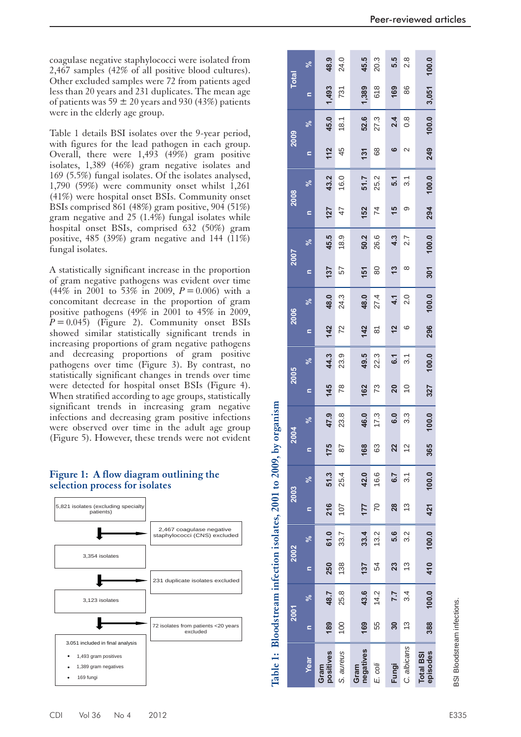coagulase negative staphylococci were isolated from 2,467 samples (42% of all positive blood cultures). Other excluded samples were 72 from patients aged less than 20 years and 231 duplicates. The mean age of patients was 59  $\pm$  20 years and 930 (43%) patients were in the elderly age group.

 Table 1 details BSI isolates over the 9-year period, with figures for the lead pathogen in each group. Overall, there were 1,493 (49%) gram positive isolates, 1,389 (46%) gram negative isolates and 169 (5.5%) fungal isolates. Of the isolates analysed, 1,790 (59%) were community onset whilst 1,261 (41%) were hospital onset BSIs. Community onset BSIs comprised 861 (48%) gram positive, 904 (51%) gram negative and 25 (1.4%) fungal isolates while hospital onset BSIs, comprised 632 (50%) gram positive, 485 (39%) gram negative and 144 (11%) fungal isolates.

 A statistically significant increase in the proportion of gram negative pathogens was evident over time  $(44\% \text{ in } 2001 \text{ to } 53\% \text{ in } 2009, P = 0.006) \text{ with a}$ concomitant decrease in the proportion of gram positive pathogens (49% in 2001 to 45% in 2009,  $P = 0.045$ ) (Figure 2). Community onset BSIs showed similar statistically significant trends in increasing proportions of gram negative pathogens and decreasing proportions of gram positive pathogens over time (Figure 3). By contrast, no statistically significant changes in trends over time were detected for hospital onset BSIs (Figure 4). When stratified according to age groups, statistically significant trends in increasing gram negative infections and decreasing gram positive infections were observed over time in the adult age group (Figure 5). However, these trends were not evident

#### **Figure 1: A flow diagram outlining the selection process for isolates**



|                              |                | <b>2001</b> |          | 2002                  |     | 2003             | 2004           |       | 2005           |       | 2006                |               | <b>Z007</b> |       | 2008           |       | 2009              |                  | <b>Total</b> |               |
|------------------------------|----------------|-------------|----------|-----------------------|-----|------------------|----------------|-------|----------------|-------|---------------------|---------------|-------------|-------|----------------|-------|-------------------|------------------|--------------|---------------|
| Year                         | $\blacksquare$ | ಸಿ          | $\equiv$ | ್ನೇ                   | è   | ಸ್ಥೆ             | $\blacksquare$ | ಸ್    | c              | ಸ್    | $\equiv$            | $\frac{5}{6}$ | c           | ೢೕ    | $\mathbf{r}$   | ೢೕ    | $\mathbf{r}$      | ಸ್               | c            | ್ಧ            |
| positives<br>Gram            | 189            | 48.7        | 250      | 61.0                  | 216 | 51.3             | 175            | 47.9  | 145            | 44.3  | 142                 | 48.0          | 137         | 45.5  | 127            | 43.2  | 112               | 45.0             | 1,493        | 48.9          |
| S. aureus                    | 100            | 25.8        | 138      | 33.7                  | 107 | 25.4             | 87             | 23.8  | 78             | 23.9  | 72                  | 24.3          | 57          | 18.9  | 47             | 16.0  | 45                | 18.1             | 731          | 24.0          |
| negatives<br>Gram            | 169            | 43.6        | 137      | 33.4                  | 177 | 42.0             | 168            | 46.0  | 162            | 49.5  | $142$               | 48.0          | 151         | 50.2  | 152            | 51.7  | 131               | 52.6             | 1,389        | 45.5          |
| E. coli                      | 55             | 14.2        | 54       | 13.2                  | 20  | 16.6             | 63             | 17.3  | 73             | 22.3  | $\overline{\infty}$ | 27.4          | 80          | 26.6  | $\overline{7}$ | 25.2  | 68                | 27.3             | 618          | 20.3          |
| Fungi                        | 30             | 7.7         | 23       | 5.6                   | 28  | 6.7              | 22             | 6.0   | 20             | 61    | $\frac{2}{3}$       | 4.1           | 13          | 4.3   | 15             | 5.1   | ဖ                 | 2.4              | 169          | 5.5           |
| C. albicans                  | 13             | 34          | 13       | 3.2                   | 13  | $\overline{3}$ . | $\frac{2}{3}$  | 3.3   | $\overline{0}$ | 31    | ဖ                   | 2.0           | ∞           | 2.7   | တ              | 3.1   | $\mathbf{\Omega}$ | $0.\overline{8}$ | 86           | $\frac{8}{2}$ |
| episodes<br><b>Total BSI</b> | 388            |             |          | $100.0$ $410$ $100.0$ |     | 421 100.0        | 365            | 100.0 | 327            | 100.0 | 296                 | 100.0         | 301         | 100.0 | 294            | 100.0 | 249               | 100.0            | 3,051        | 100.0         |
|                              |                |             |          |                       |     |                  |                |       |                |       |                     |               |             |       |                |       |                   |                  |              |               |

Table 1: Bloodstream infection isolates, 2001 to 2009, by organism

BSI Bloodstream infections. Bloodstream infections. 5SI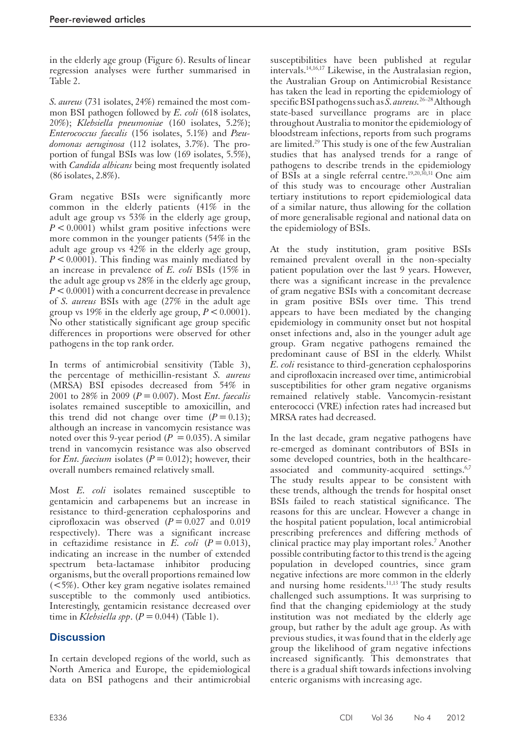in the elderly age group (Figure 6). Results of linear regression analyses were further summarised in Table 2.

 *S. aureus* (731 isolates, 24%) remained the most common BSI pathogen followed by *E. coli* (618 isolates, 20%); *Klebsiella pneumoniae* (160 isolates, 5.2%); *Enterococcus faecalis* (156 isolates, 5.1%) and *Pseudomonas aeruginosa* (112 isolates, 3.7%). The proportion of fungal BSIs was low (169 isolates, 5.5%), with *Candida albicans* being most frequently isolated (86 isolates, 2.8%).

 Gram negative BSIs were significantly more common in the elderly patients (41% in the adult age group vs 53% in the elderly age group,  $P < 0.0001$ ) whilst gram positive infections were more common in the younger patients (54% in the adult age group vs 42% in the elderly age group,  $P < 0.0001$ ). This finding was mainly mediated by an increase in prevalence of *E. coli* BSIs (15% in the adult age group vs 28% in the elderly age group,  $P < 0.0001$ ) with a concurrent decrease in prevalence of *S. aureus* BSIs with age (27% in the adult age group vs 19% in the elderly age group,  $P < 0.0001$ ). No other statistically significant age group specific differences in proportions were observed for other pathogens in the top rank order.

 In terms of antimicrobial sensitivity (Table 3), the percentage of methicillin-resistant *S. aureus*  (MRSA) BSI episodes decreased from 54% in 2001 to 28% in 2009 ( $P = 0.007$ ). Most *Ent. faecalis* isolates remained susceptible to amoxicillin, and this trend did not change over time  $(P = 0.13)$ ; although an increase in vancomycin resistance was noted over this 9-year period ( $P = 0.035$ ). A similar trend in vancomycin resistance was also observed for *Ent. faecium* isolates  $(P = 0.012)$ ; however, their overall numbers remained relatively small.

 Most *E. coli* isolates remained susceptible to gentamicin and carbapenems but an increase in resistance to third-generation cephalosporins and ciprofloxacin was observed  $(P = 0.027$  and 0.019 respectively). There was a significant increase in ceftazidime resistance in  $E$ . *coli*  $(P = 0.013)$ , indicating an increase in the number of extended spectrum beta-lactamase inhibitor producing organisms, but the overall proportions remained low (<5%). Other key gram negative isolates remained susceptible to the commonly used antibiotics. Interestingly, gentamicin resistance decreased over time in *Klebsiella spp.*  $(P = 0.044)$  (Table 1).

# **Discussion**

 In certain developed regions of the world, such as North America and Europe, the epidemiological data on BSI pathogens and their antimicrobial

susceptibilities have been published at regular intervals. 14,16,17 Likewise, in the Australasian region, the Australian Group on Antimicrobial Resistance has taken the lead in reporting the epidemiology of specific BSI pathogens such as *S. aureus.* 26–28 Although state-based surveillance programs are in place throughout Australia to monitor the epidemiology of bloodstream infections, reports from such programs are limited.<sup>29</sup> This study is one of the few Australian studies that has analysed trends for a range of pathogens to describe trends in the epidemiology of BSIs at a single referral centre. 19,20,30,31 One aim of this study was to encourage other Australian tertiary institutions to report epidemiological data of a similar nature, thus allowing for the collation of more generalisable regional and national data on the epidemiology of BSIs.

 At the study institution, gram positive BSIs remained prevalent overall in the non-specialty patient population over the last 9 years. However, there was a significant increase in the prevalence of gram negative BSIs with a concomitant decrease in gram positive BSIs over time. This trend appears to have been mediated by the changing epidemiology in community onset but not hospital onset infections and, also in the younger adult age group. Gram negative pathogens remained the predominant cause of BSI in the elderly. Whilst *E. coli* resistance to third-generation cephalosporins and ciprofloxacin increased over time, antimicrobial susceptibilities for other gram negative organisms remained relatively stable. Vancomycin-resistant enterococci (VRE) infection rates had increased but MRSA rates had decreased.

 In the last decade, gram negative pathogens have re-emerged as dominant contributors of BSIs in some developed countries, both in the healthcareassociated and community-acquired settings.<sup>6,7</sup> The study results appear to be consistent with these trends, although the trends for hospital onset BSIs failed to reach statistical significance. The reasons for this are unclear. However a change in the hospital patient population, local antimicrobial prescribing preferences and differing methods of clinical practice may play important roles.<sup>7</sup> Another possible contributing factor to this trend is the ageing population in developed countries, since gram negative infections are more common in the elderly and nursing home residents.<sup>11,13</sup> The study results challenged such assumptions. It was surprising to find that the changing epidemiology at the study institution was not mediated by the elderly age group, but rather by the adult age group. As with previous studies, it was found that in the elderly age group the likelihood of gram negative infections increased significantly. This demonstrates that there is a gradual shift towards infections involving enteric organisms with increasing age.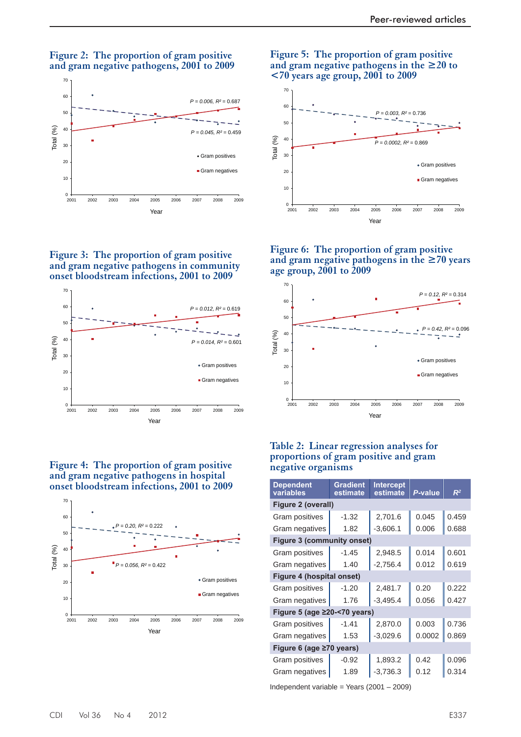#### **Figure 2: The proportion of gram positive and gram negative pathogens, 2001 to 2009**







 **Figure 4: The proportion of gram positive and gram negative pathogens in hospital onset bloodstream infections, 2001 to 2009** 



#### **Figure 5: The proportion of gram positive and gram negative pathogens in the ≥20 to <70 years age group, 2001 to 2009**



 **Figure 6: The proportion of gram positive and gram negative pathogens in the ≥70 years age group, 2001 to 2009** 



#### **Table 2: Linear regression analyses for proportions of gram positive and gram negative organisms**

| Dependent<br>variables             | <b>Gradient</b><br>estimate | <b>Intercept</b><br>estimate | P-value | $R^2$ |
|------------------------------------|-----------------------------|------------------------------|---------|-------|
| Figure 2 (overall)                 |                             |                              |         |       |
| <b>Gram positives</b>              | $-1.32$                     | 2,701.6                      | 0.045   | 0.459 |
| Gram negatives                     | 1.82                        | $-3,606.1$                   | 0.006   | 0.688 |
| <b>Figure 3 (community onset)</b>  |                             |                              |         |       |
| Gram positives                     | $-1.45$                     | 2,948.5                      | 0.014   | 0.601 |
| Gram negatives                     | 1.40                        | $-2,756.4$                   | 0.012   | 0.619 |
| <b>Figure 4 (hospital onset)</b>   |                             |                              |         |       |
| Gram positives                     | $-1.20$                     | 2,481.7                      | 0.20    | 0.222 |
| Gram negatives                     | 1.76                        | $-3,495.4$                   | 0.056   | 0.427 |
| Figure 5 (age $\geq$ 20-<70 years) |                             |                              |         |       |
| Gram positives                     | $-1.41$                     | 2,870.0                      | 0.003   | 0.736 |
| Gram negatives                     | 1.53                        | $-3,029.6$                   | 0.0002  | 0.869 |
| Figure 6 (age ≥70 years)           |                             |                              |         |       |
| Gram positives                     | $-0.92$                     | 1,893.2                      | 0.42    | 0.096 |
| Gram negatives                     | 1.89                        | $-3,736.3$                   | 0.12    | 0.314 |

Independent variable = Years (2001 – 2009)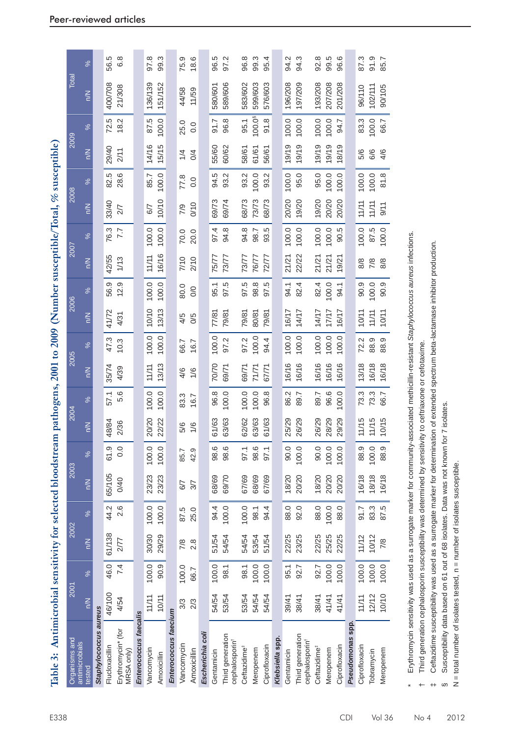| Table 3: Antimicrobial sensitivity for selected bloodstrea |        |       |        |       |        |       | m pathogens, 2001 to 2009 |       |        |       |        |           |        |       | (Number susceptible/Total, % susceptible) |       |        |          |         |         |
|------------------------------------------------------------|--------|-------|--------|-------|--------|-------|---------------------------|-------|--------|-------|--------|-----------|--------|-------|-------------------------------------------|-------|--------|----------|---------|---------|
| Organisms and<br>antimicrobials                            | 2001   |       | 2002   |       | 2003   |       | 2004                      |       | 2005   |       | 2006   |           | 2007   |       | 2008                                      |       | 2009   |          | Total   |         |
| ested                                                      | $\leq$ | $\%$  | $\leq$ | $\%$  | $\leq$ | $\%$  | ξ                         | $\%$  | $\leq$ | %     | $\leq$ | %         | $\leq$ | $\%$  | $\leq$                                    | %     | $\leq$ | $\%$     | $\leq$  | $\%$    |
| Staphylococcus aureus                                      |        |       |        |       |        |       |                           |       |        |       |        |           |        |       |                                           |       |        |          |         |         |
| Flucloxacillin                                             | 46/100 | 46.0  | 61/138 | 44.2  | 65/105 | 61.9  | 48/84                     | 57.1  | 35/74  | 47.3  | 41/72  | 56.9      | 42/55  | 76.3  | 33/40                                     | 82.5  | 29/40  | 72.5     | 400/708 | 56.5    |
| Erythromycin* (for<br>MRSA only)                           | 4/54   | 7.4   | 2/77   | 2.6   | 0/40   | 0.0   | 2/36                      | 5.6   | 4/39   | 10.3  | 4/31   | 12.9      | 1/13   | 7.7   | 2/7                                       | 28.6  | 2/11   | 18.2     | 21/308  | 6.8     |
| Enterococcus faecalis                                      |        |       |        |       |        |       |                           |       |        |       |        |           |        |       |                                           |       |        |          |         |         |
| Vancomycin                                                 | 11/11  | 100.0 | 30/30  | 100.0 | 23/23  | 100.0 | 20/20                     | 100.0 | 11/11  | 100.0 | 10/10  | 100.0     | 11/11  | 100.0 | 6/7                                       | 85.7  | 14/16  | 87.5     | 136/139 | 97.8    |
| Amoxicillin                                                | 10/11  | 90.9  | 29/29  | 100.0 | 23/23  | 100.0 | 22/22                     | 100.0 | 13/13  | 100.0 | 13/13  | 100.0     | 16/16  | 100.0 | 10/10                                     | 100.0 | 15/15  | 100.0    | 151/152 | 99.3    |
| Enterococcus faecium                                       |        |       |        |       |        |       |                           |       |        |       |        |           |        |       |                                           |       |        |          |         |         |
| Vancomycin                                                 | 3/3    | 100.0 | 7/8    | 87.5  | 6/7    | 85.7  | 5/6                       | 83.3  | 4/6    | 66.7  | 4/5    | 80.0      | 7/10   | 70.0  | 7/9                                       | 77.8  | 1/4    | 25.0     | 44/58   | 75.9    |
| Amoxicillin                                                | 2/3    | 66.7  | 2.8    | 25.0  | 3/7    | 42.9  | 1/6                       | 16.7  | 1/6    | 16.7  | 0/5    | $\infty$  | 2/10   | 20.0  | 0/10                                      | 0.0   | 0/4    | 0.0      | 11/59   | 18.6    |
| Escherichia coli                                           |        |       |        |       |        |       |                           |       |        |       |        |           |        |       |                                           |       |        |          |         |         |
| Gentamicin                                                 | 54/54  | 100.0 | 51/54  | 94.4  | 68/69  | 98.6  | 61/63                     | 96.8  | 70/70  | 100.0 | 77/81  | 95.1      | 75/77  | 97.4  | 69/73                                     | 94.5  | 55/60  | 51.7     | 580/601 | 96.5    |
| Third generation<br>cephalosporin <sup>+</sup>             | 53/54  | 98.1  | 54/54  | 100.0 | 69/70  | 98.6  | 63/63                     | 100.0 | 69/71  | 97.2  | 79/81  | rö.<br>50 | 73/77  | 94.8  | 69/74                                     | 93.2  | 60/62  | 96.8     | 589/606 | Ņ<br>50 |
| Ceftazidime <sup>#</sup>                                   | 53/54  | 98.1  | 54/54  | 100.0 | 67/69  | 97.1  | 62/62                     | 100.0 | 69/71  | 97.2  | 79/81  | r.<br>50  | 73/77  | 94.8  | 68/73                                     | 93.2  | 58/61  | 95.1     | 583/602 | 96.8    |
| Meropenem                                                  | 54/54  | 100.0 | 53/54  | 98.1  | 68/69  | 98.6  | 63/63                     | 100.0 | 71/71  | 100.0 | 80/81  | 98.8      | 76/77  | 98.7  | 73/73                                     | 100.0 | 61/61  | 100.0 \$ | 599/603 | 99.3    |
| Ciprofloxacin                                              | 54/54  | 100.0 | 51/54  | 94.4  | 67/69  | 97.1  | 61/63                     | 96.8  | 67/71  | 94.4  | 79/81  | ယ္<br>57  | 72/77  | 93.5  | 68/73                                     | 93.2  | 56/61  | 91.8     | 576/603 | 95.4    |
| Klebsiella spp                                             |        |       |        |       |        |       |                           |       |        |       |        |           |        |       |                                           |       |        |          |         |         |
| Gentamicin                                                 | 39/41  | 95.1  | 22/25  | 88.0  | 18/20  | 90.0  | 25/29                     | 86.2  | 16/16  | 100.0 | 16/17  | 94.1      | 21/21  | 100.0 | 20/20                                     | 100.0 | 19/19  | 100.0    | 196/208 | 94.2    |
| Third generation<br>cephalosporin <sup>+</sup>             | 38/41  | 92.7  | 23/25  | 92.0  | 20/20  | 100.0 | 26/29                     | 89.7  | 16/16  | 100.0 | 14/17  | 82.4      | 22/22  | 100.0 | 19/20                                     | 95.0  | 19/19  | 100.0    | 197/209 | 94.3    |
| Ceftazidime <sup>#</sup>                                   | 38/41  | 92.7  | 22/25  | 88.0  | 18/20  | 90.0  | 26/29                     | 89.7  | 16/16  | 100.0 | 14/17  | 82.4      | 21/21  | 100.0 | 9/20                                      | 95.0  | 19/19  | 100.0    | 193/208 | 92.8    |
| Meropenem                                                  | 41/41  | 100.0 | 25/25  | 100.0 | 20/20  | 100.0 | 28/29                     | 96.6  | 16/16  | 100.0 | 11/17  | 100.0     | 21/21  | 100.0 | 20/20                                     | 100.0 | 19/19  | 100.0    | 207/208 | 99.5    |
| Ciprofloxacin                                              | 41/41  | 100.0 | 22/25  | 88.0  | 20/20  | 100.0 | 29/29                     | 0.00  | 16/16  | 100.0 | 16/17  | 94.1      | 19/21  | 90.5  | 20/20                                     | 100.0 | 18/19  | 94.7     | 201/208 | 96.6    |
| Pseudomonas spp                                            |        |       |        |       |        |       |                           |       |        |       |        |           |        |       |                                           |       |        |          |         |         |
| Ciprofloxacin                                              | 11/11  | 100.0 | 11/12  | 91.7  | 16/18  | 88.9  | 11/15                     | 73.3  | 13/18  | 72.2  | 10/11  | 90.9      | 8/8    | 100.0 | 11/11                                     | 100.0 | 5/6    | 83.3     | 96/110  | 87.3    |
| Tobramycin                                                 | 12/12  | 100.0 | 10/12  | 83.3  | 18/18  | 100.0 | 11/15                     | 73.3  | 16/18  | 88.9  | 11/11  | 100.0     | 7/8    | 87.5  | 11/11                                     | 100.0 | 6/6    | 100.0    | 102/11  | 91.9    |
| Meropenem                                                  | 10/10  | 100.0 | 7/8    | 87.5  | 16/18  | 88.9  | 10/15                     | 66.7  | 16/18  | 88.9  | 10/11  | 90.9      | 8/8    | 100.0 | 9/11                                      | 81.8  | 4/6    | 66.7     | 90/105  | 85.7    |

Erythromycin sensitivity was used as a surrogate marker for community-associated methicillin-resistant Staphylococcus aureus infections. \* Erythromycin sensitivity was used as a surrogate marker for community-associated methicillin-resistant *Staphylococcus aureus* infections.

Third generation cephalosporin susceptibility was determined by sensitivity to cettriaxone or cefotaxime. † Third generation cephalosporin susceptibility was determined by sensitivity to ceftriaxone or cefotaxime.

Ceftazidime susceptibility was used as a surrogate marker for determination of extended spectrum beta-lactamase inhibitor production. ‡ Ceftazidime susceptibility was used as a surrogate marker for determination of extended spectrum beta-lactamase inhibitor production.

Susceptibility data based on 61 out of 68 isolates. Data was not known for 7 isolates. § Susceptibility data based on 61 out of 68 isolates. Data was not known for 7 isolates.

 $\omega$ 

N = total number of isolates tested, n = number of isolates susceptible. N = total number of isolates tested, n = number of isolates susceptible.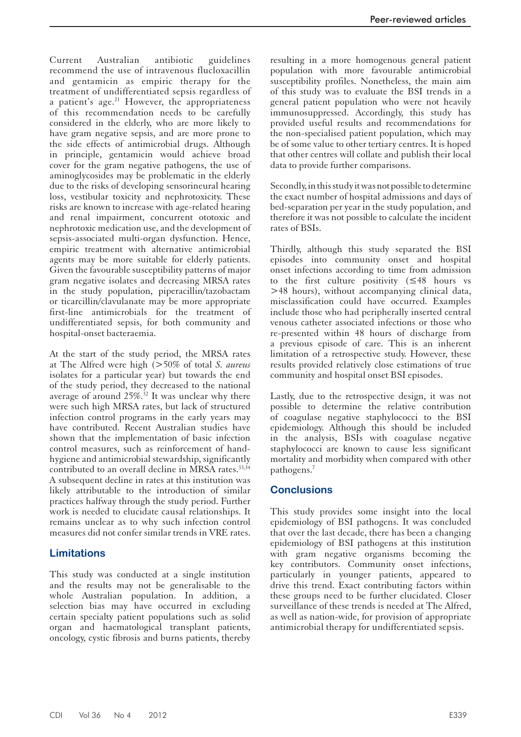Current Australian antibiotic guidelines recommend the use of intravenous flucloxacillin and gentamicin as empiric therapy for the treatment of undifferentiated sepsis regardless of a patient's age. $21$  However, the appropriateness of this recommendation needs to be carefully considered in the elderly, who are more likely to have gram negative sepsis, and are more prone to the side effects of antimicrobial drugs. Although in principle, gentamicin would achieve broad cover for the gram negative pathogens, the use of aminoglycosides may be problematic in the elderly due to the risks of developing sensorineural hearing loss, vestibular toxicity and nephrotoxicity. These risks are known to increase with age-related hearing and renal impairment, concurrent ototoxic and nephrotoxic medication use, and the development of sepsis-associated multi-organ dysfunction. Hence, empiric treatment with alternative antimicrobial agents may be more suitable for elderly patients. Given the favourable susceptibility patterns of major gram negative isolates and decreasing MRSA rates in the study population, piperacillin/tazobactam or ticarcillin/clavulanate may be more appropriate first-line antimicrobials for the treatment of undifferentiated sepsis, for both community and hospital-onset bacteraemia.

 At the start of the study period, the MRSA rates at The Alfred were high (>50% of total *S. aureus*  isolates for a particular year) but towards the end of the study period, they decreased to the national average of around 25%.<sup>32</sup> It was unclear why there were such high MRSA rates, but lack of structured infection control programs in the early years may have contributed. Recent Australian studies have shown that the implementation of basic infection control measures, such as reinforcement of handhygiene and antimicrobial stewardship, significantly contributed to an overall decline in MRSA rates. 33,34 A subsequent decline in rates at this institution was likely attributable to the introduction of similar practices halfway through the study period. Further work is needed to elucidate causal relationships. It remains unclear as to why such infection control measures did not confer similar trends in VRE rates.

# **Limitations**

 This study was conducted at a single institution and the results may not be generalisable to the whole Australian population. In addition, a selection bias may have occurred in excluding certain specialty patient populations such as solid organ and haematological transplant patients, oncology, cystic fibrosis and burns patients, thereby

resulting in a more homogenous general patient population with more favourable antimicrobial susceptibility profiles. Nonetheless, the main aim of this study was to evaluate the BSI trends in a general patient population who were not heavily immunosuppressed. Accordingly, this study has provided useful results and recommendations for the non-specialised patient population, which may be of some value to other tertiary centres. It is hoped that other centres will collate and publish their local data to provide further comparisons.

 Secondly, in this study it was not possible to determine the exact number of hospital admissions and days of bed-separation per year in the study population, and therefore it was not possible to calculate the incident rates of BSIs.

 Thirdly, although this study separated the BSI episodes into community onset and hospital onset infections according to time from admission to the first culture positivity (≤48 hours vs >48 hours), without accompanying clinical data, misclassification could have occurred. Examples include those who had peripherally inserted central venous catheter associated infections or those who re-presented within 48 hours of discharge from a previous episode of care. This is an inherent limitation of a retrospective study. However, these results provided relatively close estimations of true community and hospital onset BSI episodes.

 Lastly, due to the retrospective design, it was not possible to determine the relative contribution of coagulase negative staphylococci to the BSI epidemiology. Although this should be included in the analysis, BSIs with coagulase negative staphylococci are known to cause less significant mortality and morbidity when compared with other pathogens.<sup>7</sup>

### **Conclusions**

 This study provides some insight into the local epidemiology of BSI pathogens. It was concluded that over the last decade, there has been a changing epidemiology of BSI pathogens at this institution with gram negative organisms becoming the key contributors. Community onset infections, particularly in younger patients, appeared to drive this trend. Exact contributing factors within these groups need to be further elucidated. Closer surveillance of these trends is needed at The Alfred, as well as nation-wide, for provision of appropriate antimicrobial therapy for undifferentiated sepsis.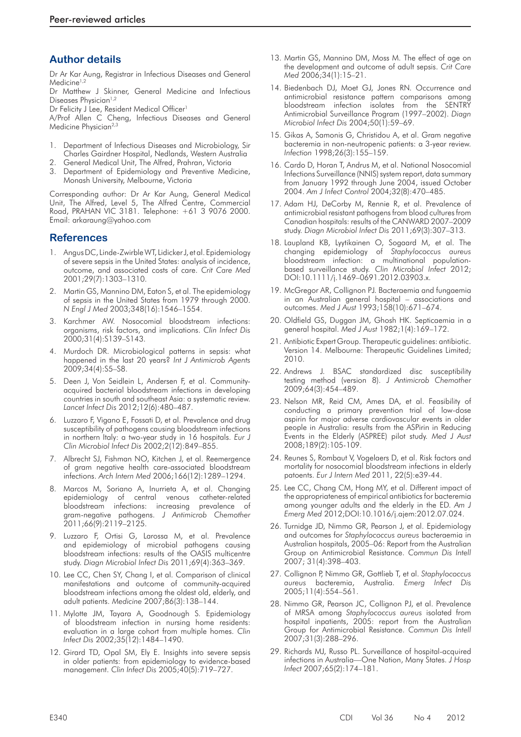### **Author details**

Dr Ar Kar Aung, Registrar in Infectious Diseases and General Medicine<sup>1,2</sup>

Dr Matthew J Skinner, General Medicine and Infectious Diseases Physician<sup>1,2</sup>

Dr Felicity J Lee, Resident Medical Officer<sup>1</sup>

A/Prof Allen C Cheng, Infectious Diseases and General Medicine Physician<sup>2,3</sup>

- 1. Department of Infectious Diseases and Microbiology, Sir Charles Gairdner Hospital, Nedlands, Western Australia
- 2. General Medical Unit, The Alfred, Prahran, Victoria
- 3. Department of Epidemiology and Preventive Medicine, Monash University, Melbourne, Victoria

Corresponding author: Dr Ar Kar Aung, General Medical Unit, The Alfred, Level 5, The Alfred Centre, Commercial Road, PRAHAN VIC 3181. Telephone: +61 3 9076 2000. Email: arkaraung@yahoo.com

# **References**

- 1. Angus DC, Linde-Zwirble WT, Lidicker J, et al. Epidemiology of severe sepsis in the United States: analysis of incidence, outcome, and associated costs of care. *Crit Care Med*  2001;29(7):1303–1310.
- 2. Martin GS, Mannino DM, Eaton S, et al. The epidemiology of sepsis in the United States from 1979 through 2000. *N Engl J Med* 2003;348(16):1546–1554.
- 3. Karchmer AW. Nosocomial bloodstream infections: organisms, risk factors, and implications. *Clin Infect Dis*  2000;31(4):S139–S143.
- 4. Murdoch DR. Microbiological patterns in sepsis: what happened in the last 20 years? *Int J Antimicrob Agents*  2009;34(4):S5–S8.
- 5. Deen J, Von Seidlein L, Andersen F, et al. Communityacquired bacterial bloodstream infections in developing countries in south and southeast Asia: a systematic review. *Lancet Infect Dis* 2012;12(6):480–487.
- 6. Luzzaro F, Vigano E, Fossati D, et al. Prevalence and drug susceptibility of pathogens causing bloodstream infections in northern Italy: a two-year study in 16 hospitals. *Eur J Clin Microbiol Infect Dis* 2002;2(12):849–855.
- 7. Albrecht SJ, Fishman NO, Kitchen J, et al. Reemergence of gram negative health care-associated bloodstream infections. *Arch Intern Med* 2006;166(12):1289–1294.
- 8. Marcos M, Soriano A, Inurrieta A, et al. Changing epidemiology of central venous catheter-related bloodstream infections: increasing prevalence of gram-negative pathogens. *J Antimicrob Chemother*  2011;66(9):2119–2125.
- 9. Luzzaro F, Ortisi G, Larossa M, et al. Prevalence and epidemiology of microbial pathogens causing bloodstream infections: results of the OASIS multicentre study. *Diagn Microbiol Infect Dis* 2011;69(4):363–369.
- 10.Lee CC, Chen SY, Chang I, et al. Comparison of clinical manifestations and outcome of community-acquired bloodstream infections among the oldest old, elderly, and adult patients. *Medicine* 2007;86(3):138–144.
- 11.Mylotte JM, Tayara A, Goodnough S. Epidemiology of bloodstream infection in nursing home residents: evaluation in a large cohort from multiple homes. *Clin Infect Dis* 2002;35(12):1484–1490.
- 12.Girard TD, Opal SM, Ely E. Insights into severe sepsis in older patients: from epidemiology to evidence-based management. *Clin Infect Dis* 2005;40(5):719–727.
- 13. Martin GS, Mannino DM, Moss M. The effect of age on the development and outcome of adult sepsis. *Crit Care Med* 2006;34(1):15–21.
- 14.Biedenbach DJ, Moet GJ, Jones RN. Occurrence and antimicrobial resistance pattern comparisons among bloodstream infection isolates from the SENTRY Antimicrobial Surveillance Program (1997–2002). *Diagn Microbiol Infect Dis* 2004;50(1):59–69.
- 15.Gikas A, Samonis G, Christidou A, et al. Gram negative bacteremia in non-neutropenic patients: a 3-year review. *Infection* 1998;26(3):155–159.
- 16 . Cardo D, Horan T, Andrus M, et al. National Nosocomial Infections Surveillance (NNIS) system report, data summary from January 1992 through June 2004, issued October 2004. *Am J Infect Control* 2004;32(8):470–485.
- 17.Adam HJ, DeCorby M, Rennie R, et al. Prevalence of antimicrobial resistant pathogens from blood cultures from Canadian hospitals: results of the CANWARD 2007–2009 study. *Diagn Microbiol Infect Dis* 2011;69(3):307–313.
- 18. Laupland KB, Lyytikainen O, Sogaard M, et al. The changing epidemiology of *Staphylococcus aureus*  bloodstream infection: a multinational populationbased surveillance study. *Clin Microbiol Infect* 2012; DOI:10.1111/j.1469–0691.2012.03903.x.
- 19. McGregor AR, Collignon PJ. Bacteraemia and fungaemia in an Australian general hospital – associations and outcomes. *Med J Aust* 1993;158(10):671–674.
- 20. Oldfield GS, Duggan JM, Ghosh HK. Septicaemia in a general hospital. *Med J Aust* 1982;1(4):169–172.
- 21. Antibiotic Expert Group. Therapeutic guidelines: antibiotic. Version 14. Melbourne: Therapeutic Guidelines Limited; 2010.
- 22. Andrews J. BSAC standardized disc susceptibility testing method (version 8). *J Antimicrob Chemother*  2009;64(3):454–489.
- 23. Nelson MR, Reid CM, Ames DA, et al. Feasibility of conducting a primary prevention trial of low-dose aspirin for major adverse cardiovascular events in older people in Australia: results from the ASPirin in Reducing Events in the Elderly (ASPREE) pilot study. *Med J Aust*  2008;189(2):105-109.
- 24. Reunes S, Rombaut V, Vogelaers D, et al. Risk factors and mortality for nosocomial bloodstream infections in elderly patoents. *Eur J Intern Med* 2011, 22(5):e39-44.
- 25. Lee CC, Chang CM, Hong MY, et al. Different impact of the appropriateness of empirical antibiotics for bacteremia among younger adults and the elderly in the ED. *Am J Emerg Med* 2012;DOI:10.1016/j.ajem:2012.07.024.
- 26. Turnidge JD, Nimmo GR, Pearson J, et al. Epidemiology and outcomes for *Staphylococcus aureus* bacteraemia in Australian hospitals, 2005–06: Report from the Australian Group on Antimicrobial Resistance. *Commun Dis Intell*  2007; 31(4):398–403.
- 27. Collignon P, Nimmo GR, Gottlieb T, et al. *Staphylococcus aureus* bacteremia, Australia. *Emerg Infect Dis*  2005;11(4):554–561.
- 28. Nimmo GR, Pearson JC, Collignon PJ, et al. Prevalence of MRSA among *Staphylococcus aureus* isolated from hospital inpatients, 2005: report from the Australian Group for Antimicrobial Resistance. *Commun Dis Intell*  2007;31(3):288–296.
- 29. Richards MJ, Russo PL. Surveillance of hospital-acquired infections in Australia—One Nation, Many States. *J Hosp Infect* 2007;65(2):174–181.